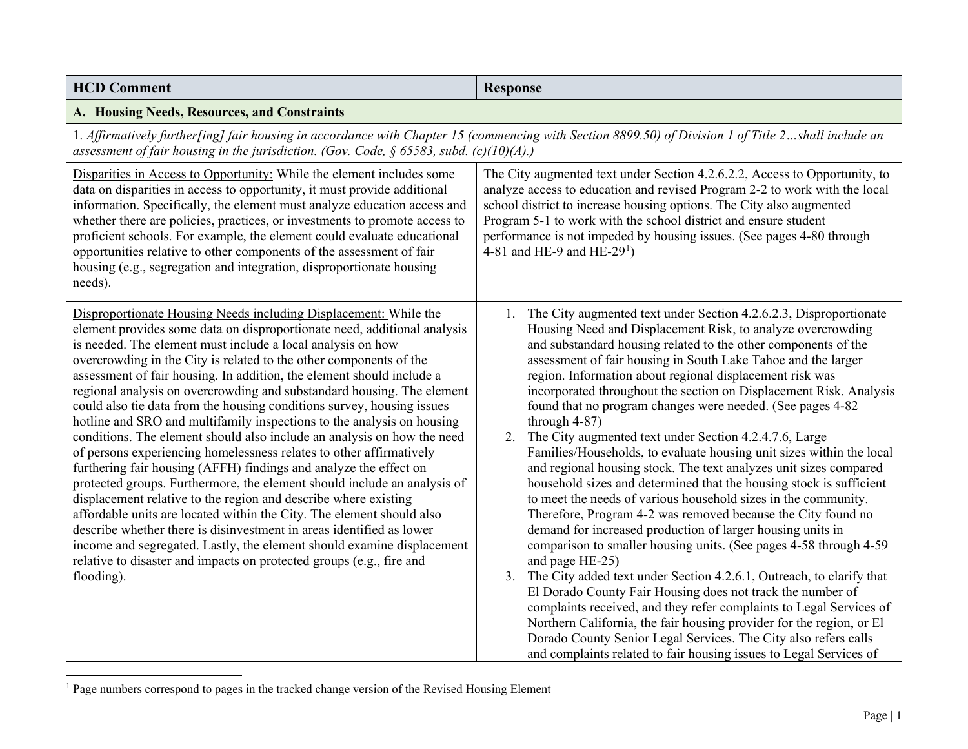<span id="page-0-0"></span>

| <b>HCD Comment</b>                                                                                                                                                                                                                                                                                                                                                                                                                                                                                                                                                                                                                                                                                                                                                                                                                                                                                                                                                                                                                                                                                                                                                                                                                                                              | <b>Response</b>                                                                                                                                                                                                                                                                                                                                                                                                                                                                                                                                                                                                                                                                                                                                                                                                                                                                                                                                                                                                                                                                                                                                                                                                                                                                                                                                                                                                                                                                                   |
|---------------------------------------------------------------------------------------------------------------------------------------------------------------------------------------------------------------------------------------------------------------------------------------------------------------------------------------------------------------------------------------------------------------------------------------------------------------------------------------------------------------------------------------------------------------------------------------------------------------------------------------------------------------------------------------------------------------------------------------------------------------------------------------------------------------------------------------------------------------------------------------------------------------------------------------------------------------------------------------------------------------------------------------------------------------------------------------------------------------------------------------------------------------------------------------------------------------------------------------------------------------------------------|---------------------------------------------------------------------------------------------------------------------------------------------------------------------------------------------------------------------------------------------------------------------------------------------------------------------------------------------------------------------------------------------------------------------------------------------------------------------------------------------------------------------------------------------------------------------------------------------------------------------------------------------------------------------------------------------------------------------------------------------------------------------------------------------------------------------------------------------------------------------------------------------------------------------------------------------------------------------------------------------------------------------------------------------------------------------------------------------------------------------------------------------------------------------------------------------------------------------------------------------------------------------------------------------------------------------------------------------------------------------------------------------------------------------------------------------------------------------------------------------------|
| A. Housing Needs, Resources, and Constraints                                                                                                                                                                                                                                                                                                                                                                                                                                                                                                                                                                                                                                                                                                                                                                                                                                                                                                                                                                                                                                                                                                                                                                                                                                    |                                                                                                                                                                                                                                                                                                                                                                                                                                                                                                                                                                                                                                                                                                                                                                                                                                                                                                                                                                                                                                                                                                                                                                                                                                                                                                                                                                                                                                                                                                   |
| assessment of fair housing in the jurisdiction. (Gov. Code, $\S$ 65583, subd. (c)(10)(A).)                                                                                                                                                                                                                                                                                                                                                                                                                                                                                                                                                                                                                                                                                                                                                                                                                                                                                                                                                                                                                                                                                                                                                                                      | 1. Affirmatively further[ing] fair housing in accordance with Chapter 15 (commencing with Section 8899.50) of Division 1 of Title 2shall include an                                                                                                                                                                                                                                                                                                                                                                                                                                                                                                                                                                                                                                                                                                                                                                                                                                                                                                                                                                                                                                                                                                                                                                                                                                                                                                                                               |
| Disparities in Access to Opportunity: While the element includes some<br>data on disparities in access to opportunity, it must provide additional<br>information. Specifically, the element must analyze education access and<br>whether there are policies, practices, or investments to promote access to<br>proficient schools. For example, the element could evaluate educational<br>opportunities relative to other components of the assessment of fair<br>housing (e.g., segregation and integration, disproportionate housing<br>needs).                                                                                                                                                                                                                                                                                                                                                                                                                                                                                                                                                                                                                                                                                                                               | The City augmented text under Section 4.2.6.2.2, Access to Opportunity, to<br>analyze access to education and revised Program 2-2 to work with the local<br>school district to increase housing options. The City also augmented<br>Program 5-1 to work with the school district and ensure student<br>performance is not impeded by housing issues. (See pages 4-80 through<br>4-81 and HE-9 and HE-29 <sup>1</sup> )                                                                                                                                                                                                                                                                                                                                                                                                                                                                                                                                                                                                                                                                                                                                                                                                                                                                                                                                                                                                                                                                            |
| Disproportionate Housing Needs including Displacement: While the<br>element provides some data on disproportionate need, additional analysis<br>is needed. The element must include a local analysis on how<br>overcrowding in the City is related to the other components of the<br>assessment of fair housing. In addition, the element should include a<br>regional analysis on overcrowding and substandard housing. The element<br>could also tie data from the housing conditions survey, housing issues<br>hotline and SRO and multifamily inspections to the analysis on housing<br>conditions. The element should also include an analysis on how the need<br>of persons experiencing homelessness relates to other affirmatively<br>furthering fair housing (AFFH) findings and analyze the effect on<br>protected groups. Furthermore, the element should include an analysis of<br>displacement relative to the region and describe where existing<br>affordable units are located within the City. The element should also<br>describe whether there is disinvestment in areas identified as lower<br>income and segregated. Lastly, the element should examine displacement<br>relative to disaster and impacts on protected groups (e.g., fire and<br>flooding). | 1. The City augmented text under Section 4.2.6.2.3, Disproportionate<br>Housing Need and Displacement Risk, to analyze overcrowding<br>and substandard housing related to the other components of the<br>assessment of fair housing in South Lake Tahoe and the larger<br>region. Information about regional displacement risk was<br>incorporated throughout the section on Displacement Risk. Analysis<br>found that no program changes were needed. (See pages 4-82<br>through 4-87)<br>2. The City augmented text under Section 4.2.4.7.6, Large<br>Families/Households, to evaluate housing unit sizes within the local<br>and regional housing stock. The text analyzes unit sizes compared<br>household sizes and determined that the housing stock is sufficient<br>to meet the needs of various household sizes in the community.<br>Therefore, Program 4-2 was removed because the City found no<br>demand for increased production of larger housing units in<br>comparison to smaller housing units. (See pages 4-58 through 4-59<br>and page HE-25)<br>3. The City added text under Section 4.2.6.1, Outreach, to clarify that<br>El Dorado County Fair Housing does not track the number of<br>complaints received, and they refer complaints to Legal Services of<br>Northern California, the fair housing provider for the region, or El<br>Dorado County Senior Legal Services. The City also refers calls<br>and complaints related to fair housing issues to Legal Services of |

<sup>&</sup>lt;sup>1</sup> Page numbers correspond to pages in the tracked change version of the Revised Housing Element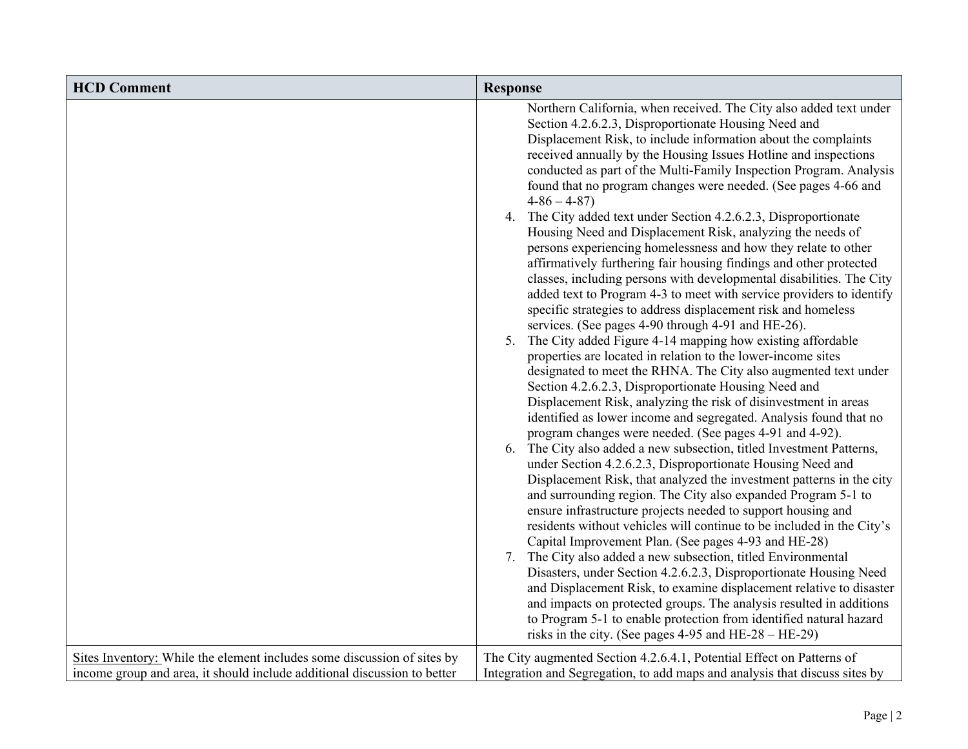| <b>HCD Comment</b>                                                                                                                                  | <b>Response</b>                                                                                                                                                                                                                                                                                                                                                                                                                                                                                                                                                                                                                                                                                                                                                                                                                                                                                                                                                                                                                                                                                                                                                                                                                                                                                                                                                                                                                                                                                                                                                                                                                                                                                                                                                                                                                                                                                                                                                                                                                                                                                                                                                                                                                                                                                                                                        |
|-----------------------------------------------------------------------------------------------------------------------------------------------------|--------------------------------------------------------------------------------------------------------------------------------------------------------------------------------------------------------------------------------------------------------------------------------------------------------------------------------------------------------------------------------------------------------------------------------------------------------------------------------------------------------------------------------------------------------------------------------------------------------------------------------------------------------------------------------------------------------------------------------------------------------------------------------------------------------------------------------------------------------------------------------------------------------------------------------------------------------------------------------------------------------------------------------------------------------------------------------------------------------------------------------------------------------------------------------------------------------------------------------------------------------------------------------------------------------------------------------------------------------------------------------------------------------------------------------------------------------------------------------------------------------------------------------------------------------------------------------------------------------------------------------------------------------------------------------------------------------------------------------------------------------------------------------------------------------------------------------------------------------------------------------------------------------------------------------------------------------------------------------------------------------------------------------------------------------------------------------------------------------------------------------------------------------------------------------------------------------------------------------------------------------------------------------------------------------------------------------------------------------|
|                                                                                                                                                     | Northern California, when received. The City also added text under<br>Section 4.2.6.2.3, Disproportionate Housing Need and<br>Displacement Risk, to include information about the complaints<br>received annually by the Housing Issues Hotline and inspections<br>conducted as part of the Multi-Family Inspection Program. Analysis<br>found that no program changes were needed. (See pages 4-66 and<br>$4-86-4-87$<br>4. The City added text under Section 4.2.6.2.3, Disproportionate<br>Housing Need and Displacement Risk, analyzing the needs of<br>persons experiencing homelessness and how they relate to other<br>affirmatively furthering fair housing findings and other protected<br>classes, including persons with developmental disabilities. The City<br>added text to Program 4-3 to meet with service providers to identify<br>specific strategies to address displacement risk and homeless<br>services. (See pages 4-90 through 4-91 and HE-26).<br>5. The City added Figure 4-14 mapping how existing affordable<br>properties are located in relation to the lower-income sites<br>designated to meet the RHNA. The City also augmented text under<br>Section 4.2.6.2.3, Disproportionate Housing Need and<br>Displacement Risk, analyzing the risk of disinvestment in areas<br>identified as lower income and segregated. Analysis found that no<br>program changes were needed. (See pages 4-91 and 4-92).<br>6. The City also added a new subsection, titled Investment Patterns,<br>under Section 4.2.6.2.3, Disproportionate Housing Need and<br>Displacement Risk, that analyzed the investment patterns in the city<br>and surrounding region. The City also expanded Program 5-1 to<br>ensure infrastructure projects needed to support housing and<br>residents without vehicles will continue to be included in the City's<br>Capital Improvement Plan. (See pages 4-93 and HE-28)<br>7. The City also added a new subsection, titled Environmental<br>Disasters, under Section 4.2.6.2.3, Disproportionate Housing Need<br>and Displacement Risk, to examine displacement relative to disaster<br>and impacts on protected groups. The analysis resulted in additions<br>to Program 5-1 to enable protection from identified natural hazard<br>risks in the city. (See pages $4-95$ and HE- $28 - \text{HE-29}$ ) |
| Sites Inventory: While the element includes some discussion of sites by<br>income group and area, it should include additional discussion to better | The City augmented Section 4.2.6.4.1, Potential Effect on Patterns of<br>Integration and Segregation, to add maps and analysis that discuss sites by                                                                                                                                                                                                                                                                                                                                                                                                                                                                                                                                                                                                                                                                                                                                                                                                                                                                                                                                                                                                                                                                                                                                                                                                                                                                                                                                                                                                                                                                                                                                                                                                                                                                                                                                                                                                                                                                                                                                                                                                                                                                                                                                                                                                   |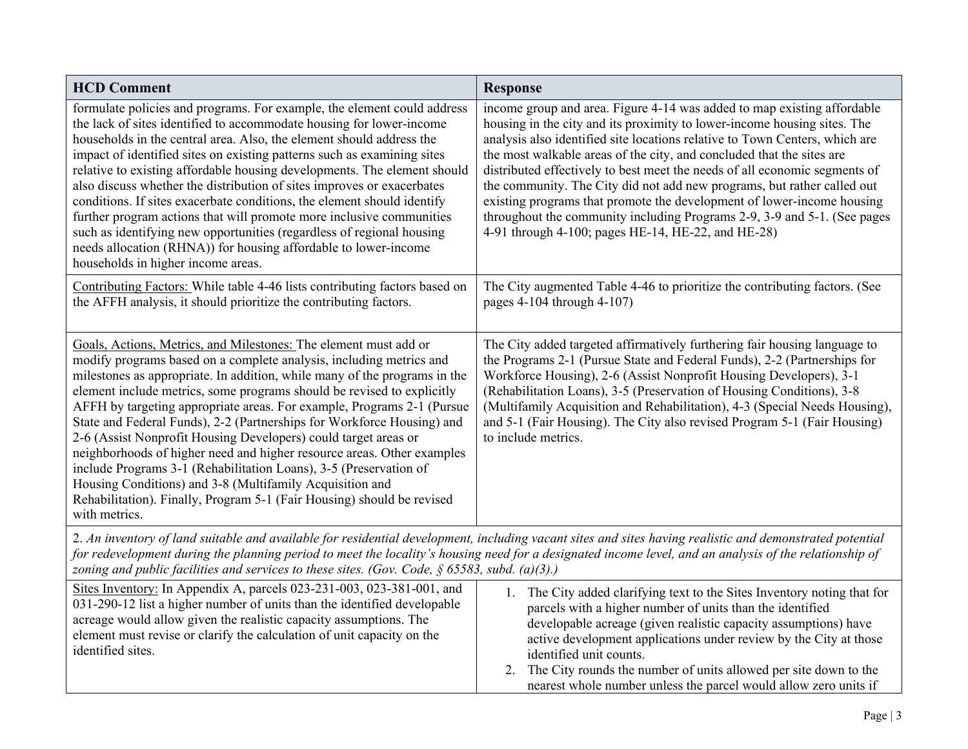| <b>HCD Comment</b>                                                                                                                                                                                                                                                                                                                                                                                                                                                                                                                                                                                                                                                                                                                                                                                                          | <b>Response</b>                                                                                                                                                                                                                                                                                                                                                                                                                                                                                                                                                                                                                                                                  |
|-----------------------------------------------------------------------------------------------------------------------------------------------------------------------------------------------------------------------------------------------------------------------------------------------------------------------------------------------------------------------------------------------------------------------------------------------------------------------------------------------------------------------------------------------------------------------------------------------------------------------------------------------------------------------------------------------------------------------------------------------------------------------------------------------------------------------------|----------------------------------------------------------------------------------------------------------------------------------------------------------------------------------------------------------------------------------------------------------------------------------------------------------------------------------------------------------------------------------------------------------------------------------------------------------------------------------------------------------------------------------------------------------------------------------------------------------------------------------------------------------------------------------|
| formulate policies and programs. For example, the element could address<br>the lack of sites identified to accommodate housing for lower-income<br>households in the central area. Also, the element should address the<br>impact of identified sites on existing patterns such as examining sites<br>relative to existing affordable housing developments. The element should<br>also discuss whether the distribution of sites improves or exacerbates<br>conditions. If sites exacerbate conditions, the element should identify<br>further program actions that will promote more inclusive communities<br>such as identifying new opportunities (regardless of regional housing<br>needs allocation (RHNA)) for housing affordable to lower-income<br>households in higher income areas.                               | income group and area. Figure 4-14 was added to map existing affordable<br>housing in the city and its proximity to lower-income housing sites. The<br>analysis also identified site locations relative to Town Centers, which are<br>the most walkable areas of the city, and concluded that the sites are<br>distributed effectively to best meet the needs of all economic segments of<br>the community. The City did not add new programs, but rather called out<br>existing programs that promote the development of lower-income housing<br>throughout the community including Programs 2-9, 3-9 and 5-1. (See pages<br>4-91 through 4-100; pages HE-14, HE-22, and HE-28) |
| Contributing Factors: While table 4-46 lists contributing factors based on<br>the AFFH analysis, it should prioritize the contributing factors.                                                                                                                                                                                                                                                                                                                                                                                                                                                                                                                                                                                                                                                                             | The City augmented Table 4-46 to prioritize the contributing factors. (See<br>pages 4-104 through 4-107)                                                                                                                                                                                                                                                                                                                                                                                                                                                                                                                                                                         |
| Goals, Actions, Metrics, and Milestones: The element must add or<br>modify programs based on a complete analysis, including metrics and<br>milestones as appropriate. In addition, while many of the programs in the<br>element include metrics, some programs should be revised to explicitly<br>AFFH by targeting appropriate areas. For example, Programs 2-1 (Pursue<br>State and Federal Funds), 2-2 (Partnerships for Workforce Housing) and<br>2-6 (Assist Nonprofit Housing Developers) could target areas or<br>neighborhoods of higher need and higher resource areas. Other examples<br>include Programs 3-1 (Rehabilitation Loans), 3-5 (Preservation of<br>Housing Conditions) and 3-8 (Multifamily Acquisition and<br>Rehabilitation). Finally, Program 5-1 (Fair Housing) should be revised<br>with metrics. | The City added targeted affirmatively furthering fair housing language to<br>the Programs 2-1 (Pursue State and Federal Funds), 2-2 (Partnerships for<br>Workforce Housing), 2-6 (Assist Nonprofit Housing Developers), 3-1<br>(Rehabilitation Loans), 3-5 (Preservation of Housing Conditions), 3-8<br>(Multifamily Acquisition and Rehabilitation), 4-3 (Special Needs Housing),<br>and 5-1 (Fair Housing). The City also revised Program 5-1 (Fair Housing)<br>to include metrics.                                                                                                                                                                                            |
| 2. An inventory of land suitable and available for residential development, including vacant sites and sites having realistic and demonstrated potential<br>for redevelopment during the planning period to meet the locality's housing need for a designated income level, and an analysis of the relationship of<br>zoning and public facilities and services to these sites. (Gov. Code, $\S$ 65583, subd. (a)(3).)                                                                                                                                                                                                                                                                                                                                                                                                      |                                                                                                                                                                                                                                                                                                                                                                                                                                                                                                                                                                                                                                                                                  |
| Sites Inventory: In Appendix A, parcels 023-231-003, 023-381-001, and<br>031-290-12 list a higher number of units than the identified developable<br>acreage would allow given the realistic capacity assumptions. The<br>element must revise or clarify the calculation of unit capacity on the<br>identified sites.                                                                                                                                                                                                                                                                                                                                                                                                                                                                                                       | 1. The City added clarifying text to the Sites Inventory noting that for<br>parcels with a higher number of units than the identified<br>developable acreage (given realistic capacity assumptions) have<br>active development applications under review by the City at those<br>identified unit counts.                                                                                                                                                                                                                                                                                                                                                                         |

2. The City rounds the number of units allowed per site down to the nearest whole number unless the parcel would allow zero units if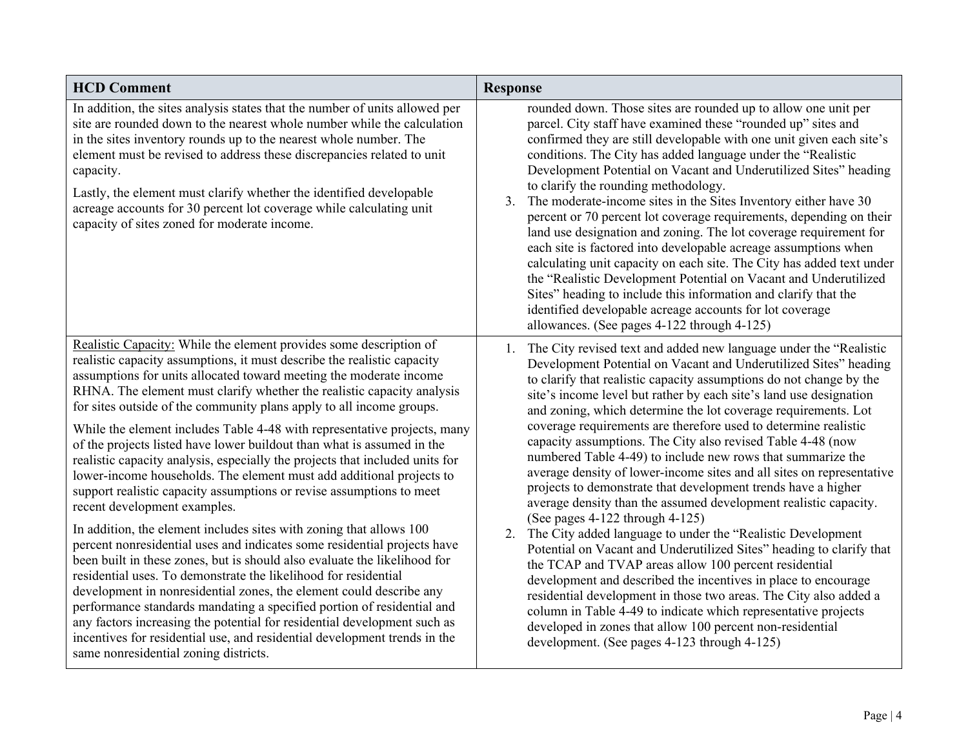| <b>HCD Comment</b>                                                                                                                                                                                                                                                                                                                                                                                                                                                                                                                                                                                                                                                                                                                                                                                                                                                                                                                                                                                                                                                                                                                                                                                                                                                                                                                                                                                                                                | <b>Response</b>                                                                                                                                                                                                                                                                                                                                                                                                                                                                                                                                                                                                                                                                                                                                                                                                                                                                                                                                                                                                                                                                                                                                                                                                                                                                                                                    |
|---------------------------------------------------------------------------------------------------------------------------------------------------------------------------------------------------------------------------------------------------------------------------------------------------------------------------------------------------------------------------------------------------------------------------------------------------------------------------------------------------------------------------------------------------------------------------------------------------------------------------------------------------------------------------------------------------------------------------------------------------------------------------------------------------------------------------------------------------------------------------------------------------------------------------------------------------------------------------------------------------------------------------------------------------------------------------------------------------------------------------------------------------------------------------------------------------------------------------------------------------------------------------------------------------------------------------------------------------------------------------------------------------------------------------------------------------|------------------------------------------------------------------------------------------------------------------------------------------------------------------------------------------------------------------------------------------------------------------------------------------------------------------------------------------------------------------------------------------------------------------------------------------------------------------------------------------------------------------------------------------------------------------------------------------------------------------------------------------------------------------------------------------------------------------------------------------------------------------------------------------------------------------------------------------------------------------------------------------------------------------------------------------------------------------------------------------------------------------------------------------------------------------------------------------------------------------------------------------------------------------------------------------------------------------------------------------------------------------------------------------------------------------------------------|
| In addition, the sites analysis states that the number of units allowed per<br>site are rounded down to the nearest whole number while the calculation<br>in the sites inventory rounds up to the nearest whole number. The<br>element must be revised to address these discrepancies related to unit<br>capacity.<br>Lastly, the element must clarify whether the identified developable<br>acreage accounts for 30 percent lot coverage while calculating unit<br>capacity of sites zoned for moderate income.                                                                                                                                                                                                                                                                                                                                                                                                                                                                                                                                                                                                                                                                                                                                                                                                                                                                                                                                  | rounded down. Those sites are rounded up to allow one unit per<br>parcel. City staff have examined these "rounded up" sites and<br>confirmed they are still developable with one unit given each site's<br>conditions. The City has added language under the "Realistic<br>Development Potential on Vacant and Underutilized Sites" heading<br>to clarify the rounding methodology.<br>The moderate-income sites in the Sites Inventory either have 30<br>3.<br>percent or 70 percent lot coverage requirements, depending on their<br>land use designation and zoning. The lot coverage requirement for<br>each site is factored into developable acreage assumptions when<br>calculating unit capacity on each site. The City has added text under<br>the "Realistic Development Potential on Vacant and Underutilized<br>Sites" heading to include this information and clarify that the<br>identified developable acreage accounts for lot coverage<br>allowances. (See pages 4-122 through 4-125)                                                                                                                                                                                                                                                                                                                             |
| Realistic Capacity: While the element provides some description of<br>realistic capacity assumptions, it must describe the realistic capacity<br>assumptions for units allocated toward meeting the moderate income<br>RHNA. The element must clarify whether the realistic capacity analysis<br>for sites outside of the community plans apply to all income groups.<br>While the element includes Table 4-48 with representative projects, many<br>of the projects listed have lower buildout than what is assumed in the<br>realistic capacity analysis, especially the projects that included units for<br>lower-income households. The element must add additional projects to<br>support realistic capacity assumptions or revise assumptions to meet<br>recent development examples.<br>In addition, the element includes sites with zoning that allows 100<br>percent nonresidential uses and indicates some residential projects have<br>been built in these zones, but is should also evaluate the likelihood for<br>residential uses. To demonstrate the likelihood for residential<br>development in nonresidential zones, the element could describe any<br>performance standards mandating a specified portion of residential and<br>any factors increasing the potential for residential development such as<br>incentives for residential use, and residential development trends in the<br>same nonresidential zoning districts. | 1. The City revised text and added new language under the "Realistic<br>Development Potential on Vacant and Underutilized Sites" heading<br>to clarify that realistic capacity assumptions do not change by the<br>site's income level but rather by each site's land use designation<br>and zoning, which determine the lot coverage requirements. Lot<br>coverage requirements are therefore used to determine realistic<br>capacity assumptions. The City also revised Table 4-48 (now<br>numbered Table 4-49) to include new rows that summarize the<br>average density of lower-income sites and all sites on representative<br>projects to demonstrate that development trends have a higher<br>average density than the assumed development realistic capacity.<br>(See pages 4-122 through 4-125)<br>2. The City added language to under the "Realistic Development<br>Potential on Vacant and Underutilized Sites" heading to clarify that<br>the TCAP and TVAP areas allow 100 percent residential<br>development and described the incentives in place to encourage<br>residential development in those two areas. The City also added a<br>column in Table 4-49 to indicate which representative projects<br>developed in zones that allow 100 percent non-residential<br>development. (See pages 4-123 through 4-125) |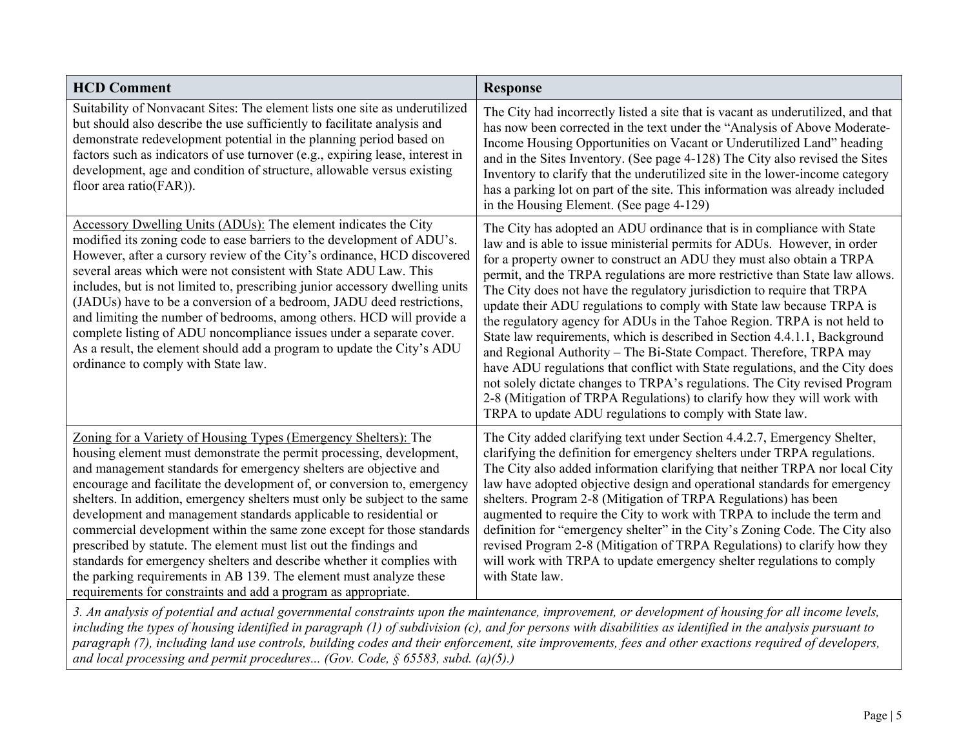| <b>HCD Comment</b>                                                                                                                                                                                                                                                                                                                                                                                                                                                                                                                                                                                                                                                                                                                                                                                           | <b>Response</b>                                                                                                                                                                                                                                                                                                                                                                                                                                                                                                                                                                                                                                                                                                                                                                                                                                                                                                                                                                                    |
|--------------------------------------------------------------------------------------------------------------------------------------------------------------------------------------------------------------------------------------------------------------------------------------------------------------------------------------------------------------------------------------------------------------------------------------------------------------------------------------------------------------------------------------------------------------------------------------------------------------------------------------------------------------------------------------------------------------------------------------------------------------------------------------------------------------|----------------------------------------------------------------------------------------------------------------------------------------------------------------------------------------------------------------------------------------------------------------------------------------------------------------------------------------------------------------------------------------------------------------------------------------------------------------------------------------------------------------------------------------------------------------------------------------------------------------------------------------------------------------------------------------------------------------------------------------------------------------------------------------------------------------------------------------------------------------------------------------------------------------------------------------------------------------------------------------------------|
| Suitability of Nonvacant Sites: The element lists one site as underutilized<br>but should also describe the use sufficiently to facilitate analysis and<br>demonstrate redevelopment potential in the planning period based on<br>factors such as indicators of use turnover (e.g., expiring lease, interest in<br>development, age and condition of structure, allowable versus existing<br>floor area ratio(FAR)).                                                                                                                                                                                                                                                                                                                                                                                         | The City had incorrectly listed a site that is vacant as underutilized, and that<br>has now been corrected in the text under the "Analysis of Above Moderate-<br>Income Housing Opportunities on Vacant or Underutilized Land" heading<br>and in the Sites Inventory. (See page 4-128) The City also revised the Sites<br>Inventory to clarify that the underutilized site in the lower-income category<br>has a parking lot on part of the site. This information was already included<br>in the Housing Element. (See page 4-129)                                                                                                                                                                                                                                                                                                                                                                                                                                                                |
| Accessory Dwelling Units (ADUs): The element indicates the City<br>modified its zoning code to ease barriers to the development of ADU's.<br>However, after a cursory review of the City's ordinance, HCD discovered<br>several areas which were not consistent with State ADU Law. This<br>includes, but is not limited to, prescribing junior accessory dwelling units<br>(JADUs) have to be a conversion of a bedroom, JADU deed restrictions,<br>and limiting the number of bedrooms, among others. HCD will provide a<br>complete listing of ADU noncompliance issues under a separate cover.<br>As a result, the element should add a program to update the City's ADU<br>ordinance to comply with State law.                                                                                          | The City has adopted an ADU ordinance that is in compliance with State<br>law and is able to issue ministerial permits for ADUs. However, in order<br>for a property owner to construct an ADU they must also obtain a TRPA<br>permit, and the TRPA regulations are more restrictive than State law allows.<br>The City does not have the regulatory jurisdiction to require that TRPA<br>update their ADU regulations to comply with State law because TRPA is<br>the regulatory agency for ADUs in the Tahoe Region. TRPA is not held to<br>State law requirements, which is described in Section 4.4.1.1, Background<br>and Regional Authority - The Bi-State Compact. Therefore, TRPA may<br>have ADU regulations that conflict with State regulations, and the City does<br>not solely dictate changes to TRPA's regulations. The City revised Program<br>2-8 (Mitigation of TRPA Regulations) to clarify how they will work with<br>TRPA to update ADU regulations to comply with State law. |
| Zoning for a Variety of Housing Types (Emergency Shelters): The<br>housing element must demonstrate the permit processing, development,<br>and management standards for emergency shelters are objective and<br>encourage and facilitate the development of, or conversion to, emergency<br>shelters. In addition, emergency shelters must only be subject to the same<br>development and management standards applicable to residential or<br>commercial development within the same zone except for those standards<br>prescribed by statute. The element must list out the findings and<br>standards for emergency shelters and describe whether it complies with<br>the parking requirements in AB 139. The element must analyze these<br>requirements for constraints and add a program as appropriate. | The City added clarifying text under Section 4.4.2.7, Emergency Shelter,<br>clarifying the definition for emergency shelters under TRPA regulations.<br>The City also added information clarifying that neither TRPA nor local City<br>law have adopted objective design and operational standards for emergency<br>shelters. Program 2-8 (Mitigation of TRPA Regulations) has been<br>augmented to require the City to work with TRPA to include the term and<br>definition for "emergency shelter" in the City's Zoning Code. The City also<br>revised Program 2-8 (Mitigation of TRPA Regulations) to clarify how they<br>will work with TRPA to update emergency shelter regulations to comply<br>with State law.                                                                                                                                                                                                                                                                              |

*3. An analysis of potential and actual governmental constraints upon the maintenance, improvement, or development of housing for all income levels, including the types of housing identified in paragraph (1) of subdivision (c), and for persons with disabilities as identified in the analysis pursuant to paragraph (7), including land use controls, building codes and their enforcement, site improvements, fees and other exactions required of developers, and local processing and permit procedures... (Gov. Code, § 65583, subd. (a)(5).)*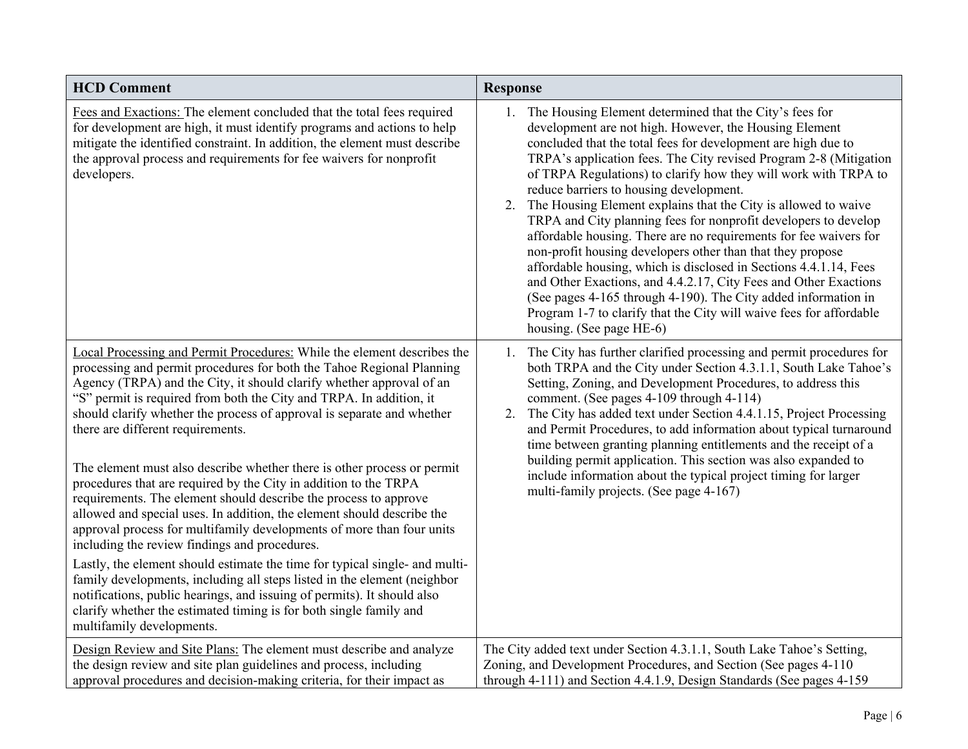| <b>HCD Comment</b>                                                                                                                                                                                                                                                                                                                                                                                                                                                                                                                                                                                                                                                                                                                                                                                                                                                                                                                                                                               | <b>Response</b>                                                                                                                                                                                                                                                                                                                                                                                                                                                                                                                                                                                                                                                                                                                                                                                                                                                                                                                                                   |
|--------------------------------------------------------------------------------------------------------------------------------------------------------------------------------------------------------------------------------------------------------------------------------------------------------------------------------------------------------------------------------------------------------------------------------------------------------------------------------------------------------------------------------------------------------------------------------------------------------------------------------------------------------------------------------------------------------------------------------------------------------------------------------------------------------------------------------------------------------------------------------------------------------------------------------------------------------------------------------------------------|-------------------------------------------------------------------------------------------------------------------------------------------------------------------------------------------------------------------------------------------------------------------------------------------------------------------------------------------------------------------------------------------------------------------------------------------------------------------------------------------------------------------------------------------------------------------------------------------------------------------------------------------------------------------------------------------------------------------------------------------------------------------------------------------------------------------------------------------------------------------------------------------------------------------------------------------------------------------|
| Fees and Exactions: The element concluded that the total fees required<br>for development are high, it must identify programs and actions to help<br>mitigate the identified constraint. In addition, the element must describe<br>the approval process and requirements for fee waivers for nonprofit<br>developers.                                                                                                                                                                                                                                                                                                                                                                                                                                                                                                                                                                                                                                                                            | 1. The Housing Element determined that the City's fees for<br>development are not high. However, the Housing Element<br>concluded that the total fees for development are high due to<br>TRPA's application fees. The City revised Program 2-8 (Mitigation<br>of TRPA Regulations) to clarify how they will work with TRPA to<br>reduce barriers to housing development.<br>2. The Housing Element explains that the City is allowed to waive<br>TRPA and City planning fees for nonprofit developers to develop<br>affordable housing. There are no requirements for fee waivers for<br>non-profit housing developers other than that they propose<br>affordable housing, which is disclosed in Sections 4.4.1.14, Fees<br>and Other Exactions, and 4.4.2.17, City Fees and Other Exactions<br>(See pages 4-165 through 4-190). The City added information in<br>Program 1-7 to clarify that the City will waive fees for affordable<br>housing. (See page HE-6) |
| Local Processing and Permit Procedures: While the element describes the<br>processing and permit procedures for both the Tahoe Regional Planning<br>Agency (TRPA) and the City, it should clarify whether approval of an<br>"S" permit is required from both the City and TRPA. In addition, it<br>should clarify whether the process of approval is separate and whether<br>there are different requirements.<br>The element must also describe whether there is other process or permit<br>procedures that are required by the City in addition to the TRPA<br>requirements. The element should describe the process to approve<br>allowed and special uses. In addition, the element should describe the<br>approval process for multifamily developments of more than four units<br>including the review findings and procedures.<br>Lastly, the element should estimate the time for typical single- and multi-<br>family developments, including all steps listed in the element (neighbor | 1. The City has further clarified processing and permit procedures for<br>both TRPA and the City under Section 4.3.1.1, South Lake Tahoe's<br>Setting, Zoning, and Development Procedures, to address this<br>comment. (See pages 4-109 through 4-114)<br>The City has added text under Section 4.4.1.15, Project Processing<br>2.<br>and Permit Procedures, to add information about typical turnaround<br>time between granting planning entitlements and the receipt of a<br>building permit application. This section was also expanded to<br>include information about the typical project timing for larger<br>multi-family projects. (See page 4-167)                                                                                                                                                                                                                                                                                                      |
| notifications, public hearings, and issuing of permits). It should also<br>clarify whether the estimated timing is for both single family and<br>multifamily developments.<br>Design Review and Site Plans: The element must describe and analyze                                                                                                                                                                                                                                                                                                                                                                                                                                                                                                                                                                                                                                                                                                                                                | The City added text under Section 4.3.1.1, South Lake Tahoe's Setting,                                                                                                                                                                                                                                                                                                                                                                                                                                                                                                                                                                                                                                                                                                                                                                                                                                                                                            |
| the design review and site plan guidelines and process, including<br>approval procedures and decision-making criteria, for their impact as                                                                                                                                                                                                                                                                                                                                                                                                                                                                                                                                                                                                                                                                                                                                                                                                                                                       | Zoning, and Development Procedures, and Section (See pages 4-110)<br>through 4-111) and Section 4.4.1.9, Design Standards (See pages 4-159                                                                                                                                                                                                                                                                                                                                                                                                                                                                                                                                                                                                                                                                                                                                                                                                                        |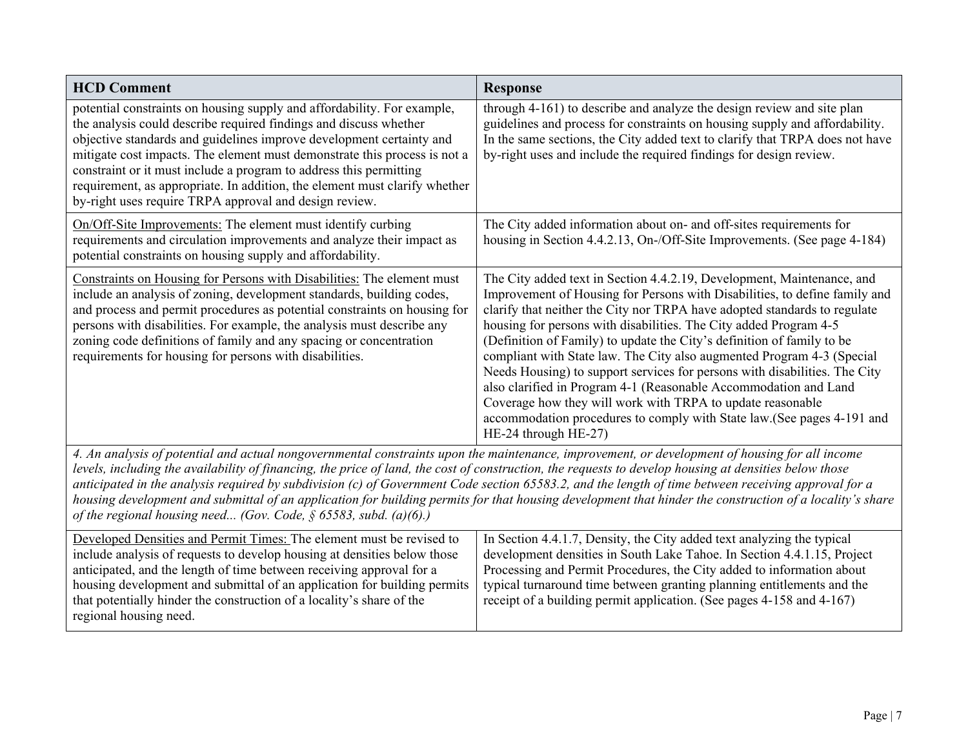| <b>HCD Comment</b>                                                                                                                                                                                                                                                                                                                                                                                                                                                                                                                     | <b>Response</b>                                                                                                                                                                                                                                                                                                                                                                                                                                                                                                                                                                                                                                                                                                                                                               |
|----------------------------------------------------------------------------------------------------------------------------------------------------------------------------------------------------------------------------------------------------------------------------------------------------------------------------------------------------------------------------------------------------------------------------------------------------------------------------------------------------------------------------------------|-------------------------------------------------------------------------------------------------------------------------------------------------------------------------------------------------------------------------------------------------------------------------------------------------------------------------------------------------------------------------------------------------------------------------------------------------------------------------------------------------------------------------------------------------------------------------------------------------------------------------------------------------------------------------------------------------------------------------------------------------------------------------------|
| potential constraints on housing supply and affordability. For example,<br>the analysis could describe required findings and discuss whether<br>objective standards and guidelines improve development certainty and<br>mitigate cost impacts. The element must demonstrate this process is not a<br>constraint or it must include a program to address this permitting<br>requirement, as appropriate. In addition, the element must clarify whether<br>by-right uses require TRPA approval and design review.                        | through 4-161) to describe and analyze the design review and site plan<br>guidelines and process for constraints on housing supply and affordability.<br>In the same sections, the City added text to clarify that TRPA does not have<br>by-right uses and include the required findings for design review.                                                                                                                                                                                                                                                                                                                                                                                                                                                                   |
| On/Off-Site Improvements: The element must identify curbing<br>requirements and circulation improvements and analyze their impact as<br>potential constraints on housing supply and affordability.                                                                                                                                                                                                                                                                                                                                     | The City added information about on- and off-sites requirements for<br>housing in Section 4.4.2.13, On-/Off-Site Improvements. (See page 4-184)                                                                                                                                                                                                                                                                                                                                                                                                                                                                                                                                                                                                                               |
| Constraints on Housing for Persons with Disabilities: The element must<br>include an analysis of zoning, development standards, building codes,<br>and process and permit procedures as potential constraints on housing for<br>persons with disabilities. For example, the analysis must describe any<br>zoning code definitions of family and any spacing or concentration<br>requirements for housing for persons with disabilities.                                                                                                | The City added text in Section 4.4.2.19, Development, Maintenance, and<br>Improvement of Housing for Persons with Disabilities, to define family and<br>clarify that neither the City nor TRPA have adopted standards to regulate<br>housing for persons with disabilities. The City added Program 4-5<br>(Definition of Family) to update the City's definition of family to be<br>compliant with State law. The City also augmented Program 4-3 (Special<br>Needs Housing) to support services for persons with disabilities. The City<br>also clarified in Program 4-1 (Reasonable Accommodation and Land<br>Coverage how they will work with TRPA to update reasonable<br>accommodation procedures to comply with State law. (See pages 4-191 and<br>HE-24 through HE-27) |
| 4. An analysis of potential and actual nongovernmental constraints upon the maintenance, improvement, or development of housing for all income<br>levels, including the availability of financing, the price of land, the cost of construction, the requests to develop housing at densities below those<br>anticipated in the analysis required by subdivision (c) of Government Code section 65583.2, and the length of time between receiving approval for a<br>of the regional housing need (Gov. Code, $\S$ 65583, subd. (a)(6).) | housing development and submittal of an application for building permits for that housing development that hinder the construction of a locality's share                                                                                                                                                                                                                                                                                                                                                                                                                                                                                                                                                                                                                      |
| Developed Densities and Permit Times: The element must be revised to<br>include analysis of requests to develop housing at densities below those<br>anticipated, and the length of time between receiving approval for a<br>housing development and submittal of an application for building permits<br>that potentially hinder the construction of a locality's share of the<br>regional housing need.                                                                                                                                | In Section 4.4.1.7, Density, the City added text analyzing the typical<br>development densities in South Lake Tahoe. In Section 4.4.1.15, Project<br>Processing and Permit Procedures, the City added to information about<br>typical turnaround time between granting planning entitlements and the<br>receipt of a building permit application. (See pages 4-158 and 4-167)                                                                                                                                                                                                                                                                                                                                                                                                 |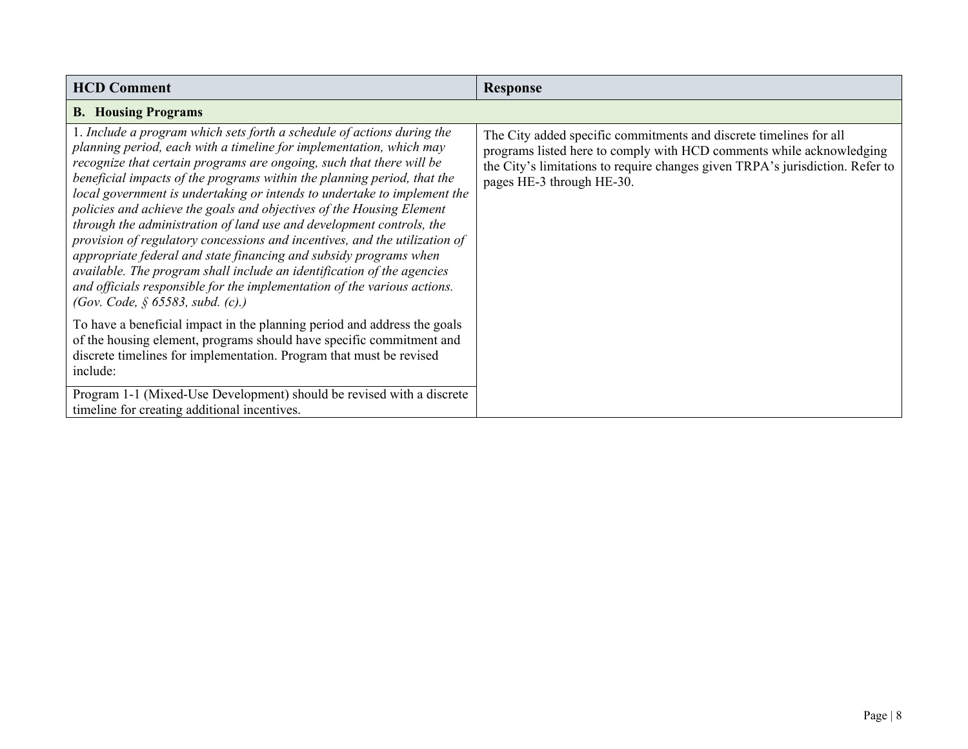| <b>HCD Comment</b>                                                                                                                                                                                                                                                                                                                                                                                                                                                                                                                                                                                                                                                                                                                                                                                                                                                           | <b>Response</b>                                                                                                                                                                                                                                          |
|------------------------------------------------------------------------------------------------------------------------------------------------------------------------------------------------------------------------------------------------------------------------------------------------------------------------------------------------------------------------------------------------------------------------------------------------------------------------------------------------------------------------------------------------------------------------------------------------------------------------------------------------------------------------------------------------------------------------------------------------------------------------------------------------------------------------------------------------------------------------------|----------------------------------------------------------------------------------------------------------------------------------------------------------------------------------------------------------------------------------------------------------|
| <b>B.</b> Housing Programs                                                                                                                                                                                                                                                                                                                                                                                                                                                                                                                                                                                                                                                                                                                                                                                                                                                   |                                                                                                                                                                                                                                                          |
| 1. Include a program which sets forth a schedule of actions during the<br>planning period, each with a timeline for implementation, which may<br>recognize that certain programs are ongoing, such that there will be<br>beneficial impacts of the programs within the planning period, that the<br>local government is undertaking or intends to undertake to implement the<br>policies and achieve the goals and objectives of the Housing Element<br>through the administration of land use and development controls, the<br>provision of regulatory concessions and incentives, and the utilization of<br>appropriate federal and state financing and subsidy programs when<br>available. The program shall include an identification of the agencies<br>and officials responsible for the implementation of the various actions.<br>(Gov. Code, § 65583, subd. $(c)$ .) | The City added specific commitments and discrete timelines for all<br>programs listed here to comply with HCD comments while acknowledging<br>the City's limitations to require changes given TRPA's jurisdiction. Refer to<br>pages HE-3 through HE-30. |
| To have a beneficial impact in the planning period and address the goals<br>of the housing element, programs should have specific commitment and<br>discrete timelines for implementation. Program that must be revised<br>include:                                                                                                                                                                                                                                                                                                                                                                                                                                                                                                                                                                                                                                          |                                                                                                                                                                                                                                                          |
| Program 1-1 (Mixed-Use Development) should be revised with a discrete<br>timeline for creating additional incentives.                                                                                                                                                                                                                                                                                                                                                                                                                                                                                                                                                                                                                                                                                                                                                        |                                                                                                                                                                                                                                                          |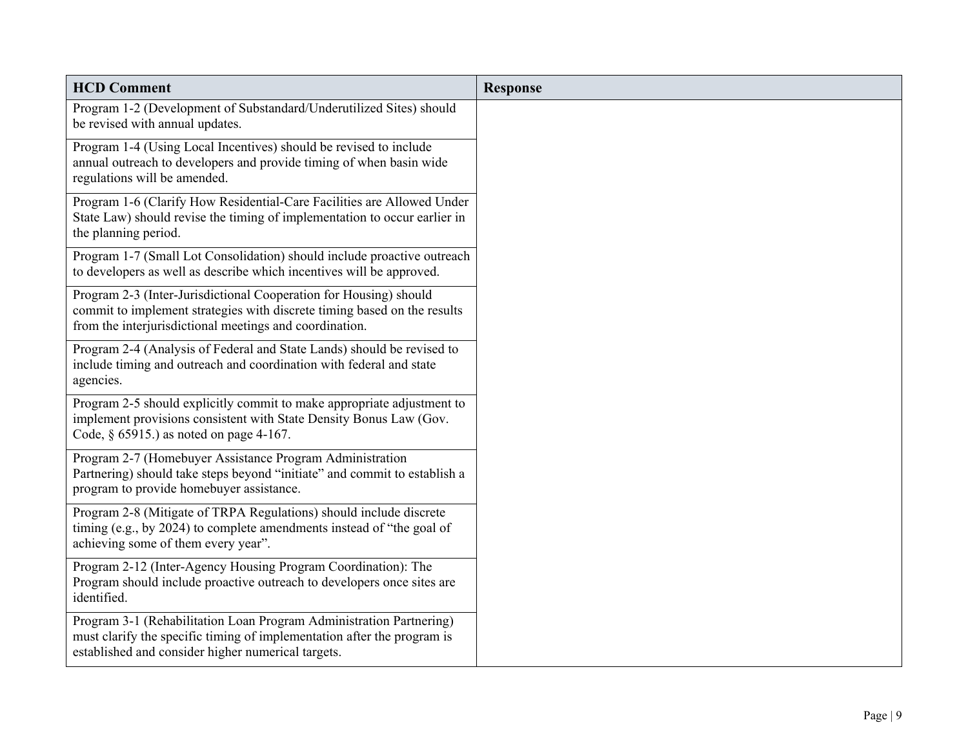| <b>HCD Comment</b>                                                                                                                                                                                       | <b>Response</b> |
|----------------------------------------------------------------------------------------------------------------------------------------------------------------------------------------------------------|-----------------|
| Program 1-2 (Development of Substandard/Underutilized Sites) should<br>be revised with annual updates.                                                                                                   |                 |
| Program 1-4 (Using Local Incentives) should be revised to include<br>annual outreach to developers and provide timing of when basin wide<br>regulations will be amended.                                 |                 |
| Program 1-6 (Clarify How Residential-Care Facilities are Allowed Under<br>State Law) should revise the timing of implementation to occur earlier in<br>the planning period.                              |                 |
| Program 1-7 (Small Lot Consolidation) should include proactive outreach<br>to developers as well as describe which incentives will be approved.                                                          |                 |
| Program 2-3 (Inter-Jurisdictional Cooperation for Housing) should<br>commit to implement strategies with discrete timing based on the results<br>from the interjurisdictional meetings and coordination. |                 |
| Program 2-4 (Analysis of Federal and State Lands) should be revised to<br>include timing and outreach and coordination with federal and state<br>agencies.                                               |                 |
| Program 2-5 should explicitly commit to make appropriate adjustment to<br>implement provisions consistent with State Density Bonus Law (Gov.<br>Code, $\S$ 65915.) as noted on page 4-167.               |                 |
| Program 2-7 (Homebuyer Assistance Program Administration<br>Partnering) should take steps beyond "initiate" and commit to establish a<br>program to provide homebuyer assistance.                        |                 |
| Program 2-8 (Mitigate of TRPA Regulations) should include discrete<br>timing (e.g., by 2024) to complete amendments instead of "the goal of<br>achieving some of them every year".                       |                 |
| Program 2-12 (Inter-Agency Housing Program Coordination): The<br>Program should include proactive outreach to developers once sites are<br>identified.                                                   |                 |
| Program 3-1 (Rehabilitation Loan Program Administration Partnering)<br>must clarify the specific timing of implementation after the program is<br>established and consider higher numerical targets.     |                 |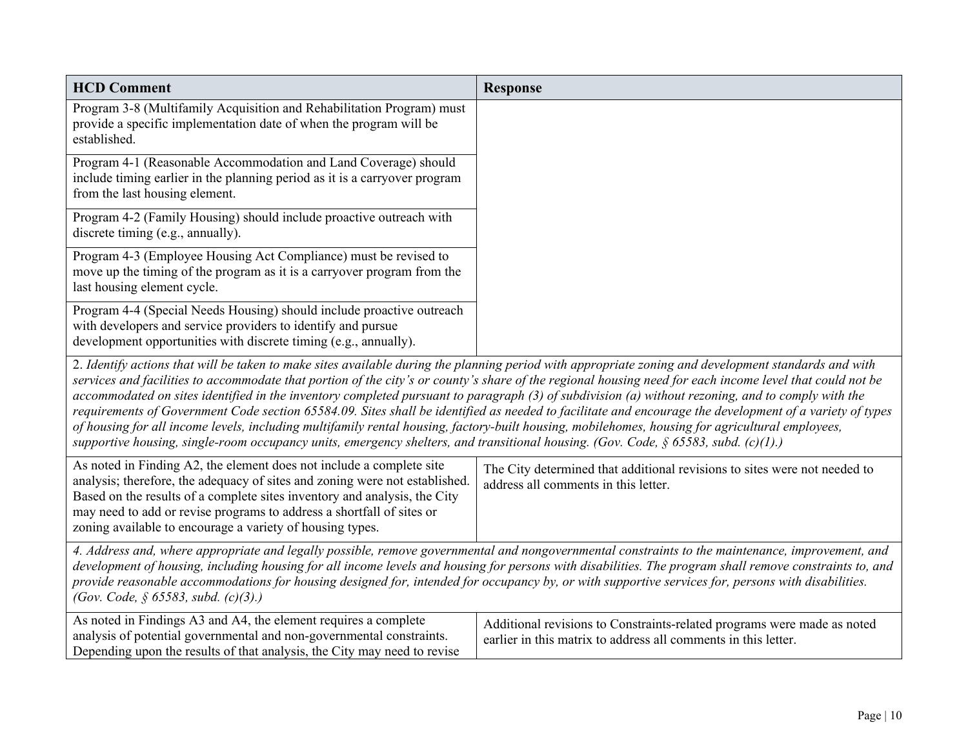| <b>HCD Comment</b>                                                                                                                                                                                                                                                                                                                                                                                                                                                                                                                                                                                 | <b>Response</b>                                                                                                                                                                                                                                                                                                     |
|----------------------------------------------------------------------------------------------------------------------------------------------------------------------------------------------------------------------------------------------------------------------------------------------------------------------------------------------------------------------------------------------------------------------------------------------------------------------------------------------------------------------------------------------------------------------------------------------------|---------------------------------------------------------------------------------------------------------------------------------------------------------------------------------------------------------------------------------------------------------------------------------------------------------------------|
| Program 3-8 (Multifamily Acquisition and Rehabilitation Program) must<br>provide a specific implementation date of when the program will be<br>established.                                                                                                                                                                                                                                                                                                                                                                                                                                        |                                                                                                                                                                                                                                                                                                                     |
| Program 4-1 (Reasonable Accommodation and Land Coverage) should<br>include timing earlier in the planning period as it is a carryover program<br>from the last housing element.                                                                                                                                                                                                                                                                                                                                                                                                                    |                                                                                                                                                                                                                                                                                                                     |
| Program 4-2 (Family Housing) should include proactive outreach with<br>discrete timing (e.g., annually).                                                                                                                                                                                                                                                                                                                                                                                                                                                                                           |                                                                                                                                                                                                                                                                                                                     |
| Program 4-3 (Employee Housing Act Compliance) must be revised to<br>move up the timing of the program as it is a carryover program from the<br>last housing element cycle.                                                                                                                                                                                                                                                                                                                                                                                                                         |                                                                                                                                                                                                                                                                                                                     |
| Program 4-4 (Special Needs Housing) should include proactive outreach<br>with developers and service providers to identify and pursue<br>development opportunities with discrete timing (e.g., annually).                                                                                                                                                                                                                                                                                                                                                                                          |                                                                                                                                                                                                                                                                                                                     |
| 2. Identify actions that will be taken to make sites available during the planning period with appropriate zoning and development standards and with<br>accommodated on sites identified in the inventory completed pursuant to paragraph (3) of subdivision (a) without rezoning, and to comply with the<br>of housing for all income levels, including multifamily rental housing, factory-built housing, mobilehomes, housing for agricultural employees,<br>supportive housing, single-room occupancy units, emergency shelters, and transitional housing. (Gov. Code, § 65583, subd. (c)(1).) | services and facilities to accommodate that portion of the city's or county's share of the regional housing need for each income level that could not be<br>requirements of Government Code section 65584.09. Sites shall be identified as needed to facilitate and encourage the development of a variety of types |
| As noted in Finding A2, the element does not include a complete site<br>analysis; therefore, the adequacy of sites and zoning were not established.<br>Based on the results of a complete sites inventory and analysis, the City<br>may need to add or revise programs to address a shortfall of sites or<br>zoning available to encourage a variety of housing types.                                                                                                                                                                                                                             | The City determined that additional revisions to sites were not needed to<br>address all comments in this letter.                                                                                                                                                                                                   |
| 4. Address and, where appropriate and legally possible, remove governmental and nongovernmental constraints to the maintenance, improvement, and<br>development of housing, including housing for all income levels and housing for persons with disabilities. The program shall remove constraints to, and<br>provide reasonable accommodations for housing designed for, intended for occupancy by, or with supportive services for, persons with disabilities.<br>(Gov. Code, § 65583, subd. $(c)(3)$ .)                                                                                        |                                                                                                                                                                                                                                                                                                                     |
| As noted in Findings A3 and A4, the element requires a complete<br>analysis of potential governmental and non-governmental constraints.<br>Depending upon the results of that analysis, the City may need to revise                                                                                                                                                                                                                                                                                                                                                                                | Additional revisions to Constraints-related programs were made as noted<br>earlier in this matrix to address all comments in this letter.                                                                                                                                                                           |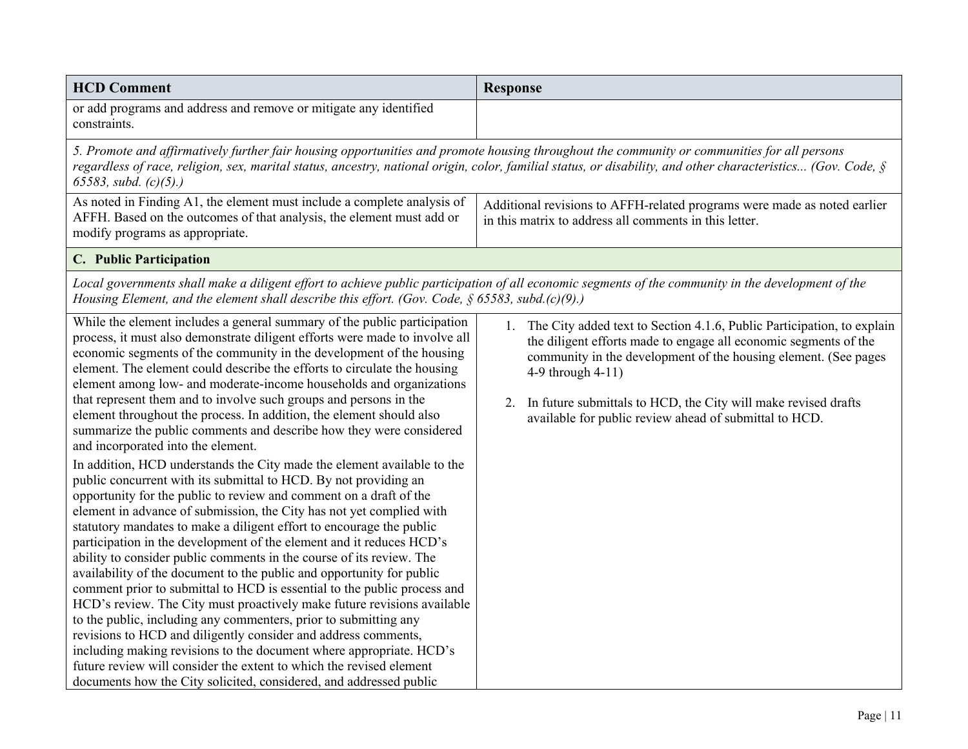| <b>HCD Comment</b>                                                                                                                                                                                                                                                                                                                                                                                                                                                                                                                                                                                                                                                                                                                                                                                                                                                                                                                                                                                                                                                                                                                                                                                                                                                                                                                                                                                                                                                                                                                                                                                                                                                                                                                                          | <b>Response</b>                                                                                                                                                                                                                                                                                                                                                      |
|-------------------------------------------------------------------------------------------------------------------------------------------------------------------------------------------------------------------------------------------------------------------------------------------------------------------------------------------------------------------------------------------------------------------------------------------------------------------------------------------------------------------------------------------------------------------------------------------------------------------------------------------------------------------------------------------------------------------------------------------------------------------------------------------------------------------------------------------------------------------------------------------------------------------------------------------------------------------------------------------------------------------------------------------------------------------------------------------------------------------------------------------------------------------------------------------------------------------------------------------------------------------------------------------------------------------------------------------------------------------------------------------------------------------------------------------------------------------------------------------------------------------------------------------------------------------------------------------------------------------------------------------------------------------------------------------------------------------------------------------------------------|----------------------------------------------------------------------------------------------------------------------------------------------------------------------------------------------------------------------------------------------------------------------------------------------------------------------------------------------------------------------|
| or add programs and address and remove or mitigate any identified<br>constraints.                                                                                                                                                                                                                                                                                                                                                                                                                                                                                                                                                                                                                                                                                                                                                                                                                                                                                                                                                                                                                                                                                                                                                                                                                                                                                                                                                                                                                                                                                                                                                                                                                                                                           |                                                                                                                                                                                                                                                                                                                                                                      |
| 5. Promote and affirmatively further fair housing opportunities and promote housing throughout the community or communities for all persons<br>65583, subd. $(c)(5)$ .)                                                                                                                                                                                                                                                                                                                                                                                                                                                                                                                                                                                                                                                                                                                                                                                                                                                                                                                                                                                                                                                                                                                                                                                                                                                                                                                                                                                                                                                                                                                                                                                     | regardless of race, religion, sex, marital status, ancestry, national origin, color, familial status, or disability, and other characteristics (Gov. Code, §                                                                                                                                                                                                         |
| As noted in Finding A1, the element must include a complete analysis of<br>AFFH. Based on the outcomes of that analysis, the element must add or<br>modify programs as appropriate.                                                                                                                                                                                                                                                                                                                                                                                                                                                                                                                                                                                                                                                                                                                                                                                                                                                                                                                                                                                                                                                                                                                                                                                                                                                                                                                                                                                                                                                                                                                                                                         | Additional revisions to AFFH-related programs were made as noted earlier<br>in this matrix to address all comments in this letter.                                                                                                                                                                                                                                   |
| C. Public Participation                                                                                                                                                                                                                                                                                                                                                                                                                                                                                                                                                                                                                                                                                                                                                                                                                                                                                                                                                                                                                                                                                                                                                                                                                                                                                                                                                                                                                                                                                                                                                                                                                                                                                                                                     |                                                                                                                                                                                                                                                                                                                                                                      |
| Local governments shall make a diligent effort to achieve public participation of all economic segments of the community in the development of the<br>Housing Element, and the element shall describe this effort. (Gov. Code, $\S 65583$ , subd.(c)(9).)                                                                                                                                                                                                                                                                                                                                                                                                                                                                                                                                                                                                                                                                                                                                                                                                                                                                                                                                                                                                                                                                                                                                                                                                                                                                                                                                                                                                                                                                                                   |                                                                                                                                                                                                                                                                                                                                                                      |
| While the element includes a general summary of the public participation<br>process, it must also demonstrate diligent efforts were made to involve all<br>economic segments of the community in the development of the housing<br>element. The element could describe the efforts to circulate the housing<br>element among low- and moderate-income households and organizations<br>that represent them and to involve such groups and persons in the<br>element throughout the process. In addition, the element should also<br>summarize the public comments and describe how they were considered<br>and incorporated into the element.<br>In addition, HCD understands the City made the element available to the<br>public concurrent with its submittal to HCD. By not providing an<br>opportunity for the public to review and comment on a draft of the<br>element in advance of submission, the City has not yet complied with<br>statutory mandates to make a diligent effort to encourage the public<br>participation in the development of the element and it reduces HCD's<br>ability to consider public comments in the course of its review. The<br>availability of the document to the public and opportunity for public<br>comment prior to submittal to HCD is essential to the public process and<br>HCD's review. The City must proactively make future revisions available<br>to the public, including any commenters, prior to submitting any<br>revisions to HCD and diligently consider and address comments,<br>including making revisions to the document where appropriate. HCD's<br>future review will consider the extent to which the revised element<br>documents how the City solicited, considered, and addressed public | 1. The City added text to Section 4.1.6, Public Participation, to explain<br>the diligent efforts made to engage all economic segments of the<br>community in the development of the housing element. (See pages<br>4-9 through 4-11)<br>2. In future submittals to HCD, the City will make revised drafts<br>available for public review ahead of submittal to HCD. |